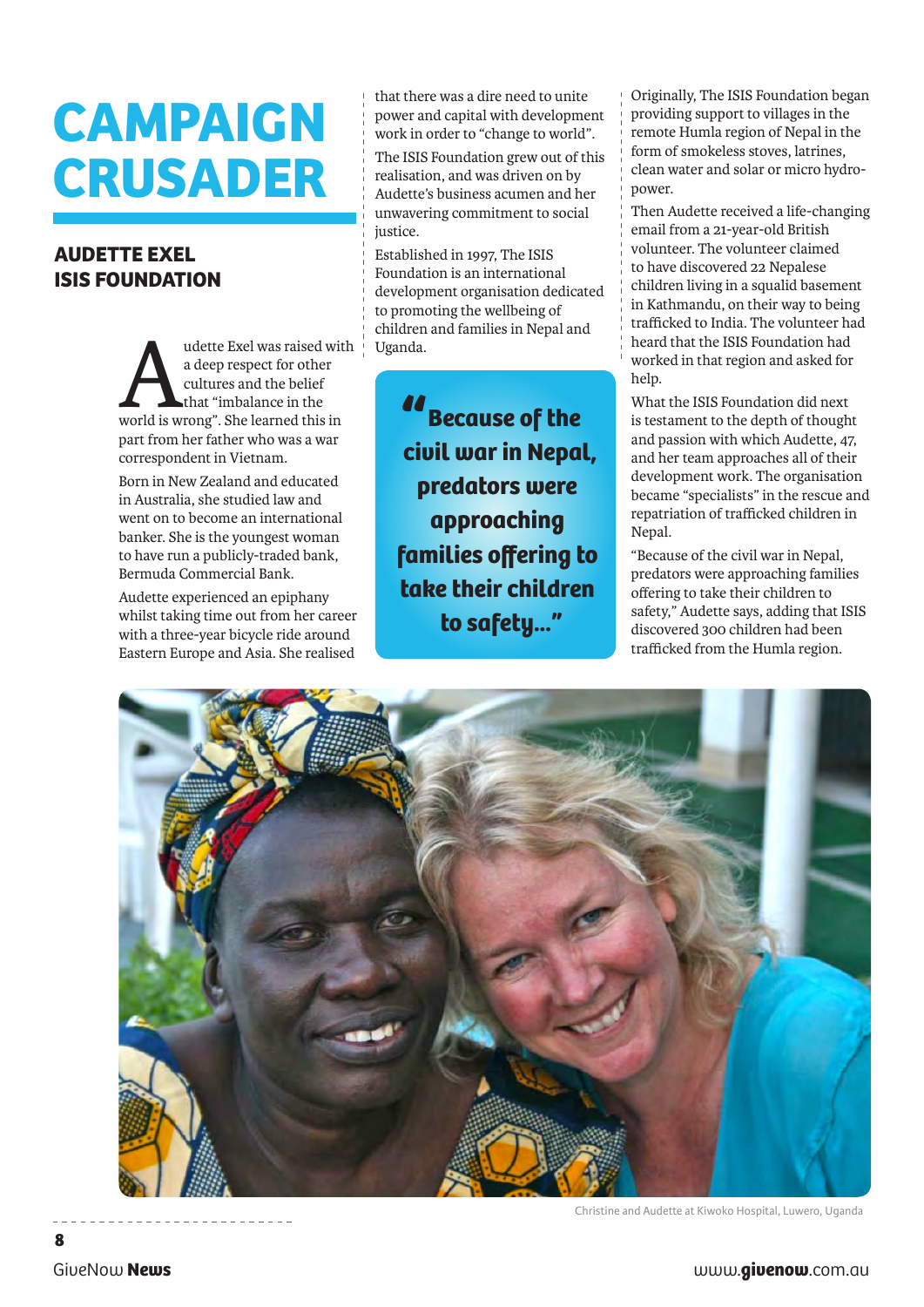## **CAMPAIGN CRUSADER**

## **AUDETTE EXEL ISIS FOUNDATION**

udette Exel was raised with Uganda.<br>
a deep respect for other<br>
cultures and the belief<br>
world is wrong". She learned this in a deep respect for other cultures and the belief that "imbalance in the part from her father who was a war correspondent in Vietnam.

Born in New Zealand and educated in Australia, she studied law and went on to become an international banker. She is the youngest woman to have run a publicly-traded bank, Bermuda Commercial Bank.

Audette experienced an epiphany whilst taking time out from her career with a three-year bicycle ride around Eastern Europe and Asia. She realised

that there was a dire need to unite power and capital with development work in order to "change to world".

The ISIS Foundation grew out of this realisation, and was driven on by Audette's business acumen and her unwavering commitment to social justice.

Established in 1997, The ISIS Foundation is an international development organisation dedicated to promoting the wellbeing of children and families in Nepal and

*"***Because of the civil war in Nepal, predators were approaching families offering to take their children to safety..."**

Originally, The ISIS Foundation began providing support to villages in the remote Humla region of Nepal in the form of smokeless stoves, latrines, clean water and solar or micro hydropower.

Then Audette received a life-changing email from a 21-year-old British volunteer. The volunteer claimed to have discovered 22 Nepalese children living in a squalid basement in Kathmandu, on their way to being trafficked to India. The volunteer had heard that the ISIS Foundation had worked in that region and asked for help.

What the ISIS Foundation did next is testament to the depth of thought and passion with which Audette, 47, and her team approaches all of their development work. The organisation became "specialists" in the rescue and repatriation of trafficked children in Nepal.

"Because of the civil war in Nepal, predators were approaching families offering to take their children to safety," Audette says, adding that ISIS discovered 300 children had been trafficked from the Humla region.



Christine and Audette at Kiwoko Hospital, Luwero, Uganda

**8**